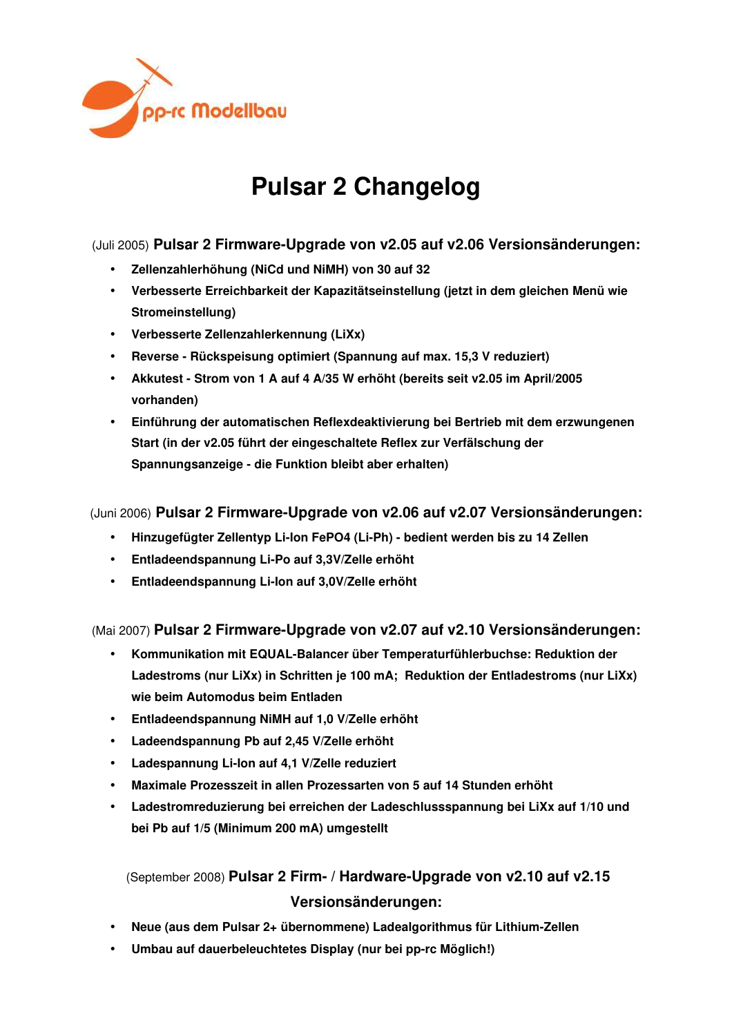

# **Pulsar 2 Changelog**

### (Juli 2005) **Pulsar 2 Firmware-Upgrade von v2.05 auf v2.06 Versionsänderungen:**

- **Zellenzahlerhöhung (NiCd und NiMH) von 30 auf 32**
- **Verbesserte Erreichbarkeit der Kapazitätseinstellung (jetzt in dem gleichen Menü wie Stromeinstellung)**
- **Verbesserte Zellenzahlerkennung (LiXx)**
- **Reverse Rückspeisung optimiert (Spannung auf max. 15,3 V reduziert)**
- **Akkutest Strom von 1 A auf 4 A/35 W erhöht (bereits seit v2.05 im April/2005 vorhanden)**
- **Einführung der automatischen Reflexdeaktivierung bei Bertrieb mit dem erzwungenen Start (in der v2.05 führt der eingeschaltete Reflex zur Verfälschung der Spannungsanzeige - die Funktion bleibt aber erhalten)**

#### (Juni 2006) **Pulsar 2 Firmware-Upgrade von v2.06 auf v2.07 Versionsänderungen:**

- **Hinzugefügter Zellentyp Li-Ion FePO4 (Li-Ph) bedient werden bis zu 14 Zellen**
- **Entladeendspannung Li-Po auf 3,3V/Zelle erhöht**
- **Entladeendspannung Li-Ion auf 3,0V/Zelle erhöht**

#### (Mai 2007) **Pulsar 2 Firmware-Upgrade von v2.07 auf v2.10 Versionsänderungen:**

- **Kommunikation mit EQUAL-Balancer über Temperaturfühlerbuchse: Reduktion der Ladestroms (nur LiXx) in Schritten je 100 mA; Reduktion der Entladestroms (nur LiXx) wie beim Automodus beim Entladen**
- **Entladeendspannung NiMH auf 1,0 V/Zelle erhöht**
- **Ladeendspannung Pb auf 2,45 V/Zelle erhöht**
- **Ladespannung Li-Ion auf 4,1 V/Zelle reduziert**
- **Maximale Prozesszeit in allen Prozessarten von 5 auf 14 Stunden erhöht**
- **Ladestromreduzierung bei erreichen der Ladeschlussspannung bei LiXx auf 1/10 und bei Pb auf 1/5 (Minimum 200 mA) umgestellt**

(September 2008) **Pulsar 2 Firm- / Hardware-Upgrade von v2.10 auf v2.15 Versionsänderungen:**

- **Neue (aus dem Pulsar 2+ übernommene) Ladealgorithmus für Lithium-Zellen**
- **Umbau auf dauerbeleuchtetes Display (nur bei pp-rc Möglich!)**